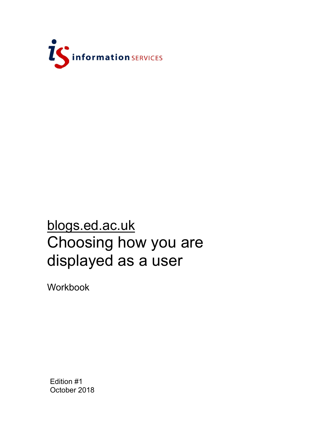

## blogs.ed.ac.uk Choosing how you are displayed as a user

Workbook

Edition #1 October 2018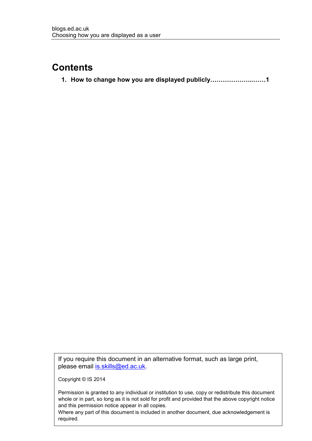## **Contents**

**1. How to change how you are displayed publicly………………...……1**

If you require this document in an alternative format, such as large print, please email [is.skills@ed.ac.uk.](mailto:is.skills@ed.ac.uk)

Copyright © IS 2014

Permission is granted to any individual or institution to use, copy or redistribute this document whole or in part, so long as it is not sold for profit and provided that the above copyright notice and this permission notice appear in all copies.

Where any part of this document is included in another document, due acknowledgement is required.